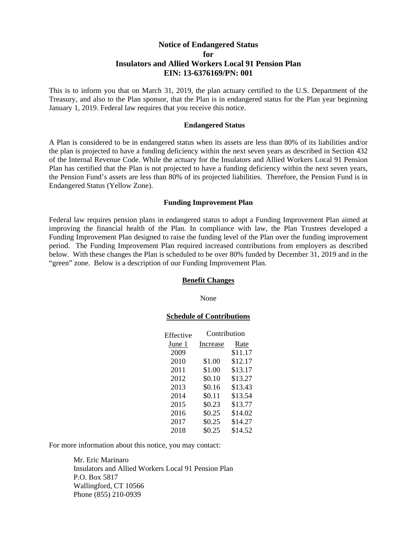# **Notice of Endangered Status for Insulators and Allied Workers Local 91 Pension Plan EIN: 13-6376169/PN: 001**

This is to inform you that on March 31, 2019, the plan actuary certified to the U.S. Department of the Treasury, and also to the Plan sponsor, that the Plan is in endangered status for the Plan year beginning January 1, 2019. Federal law requires that you receive this notice.

#### **Endangered Status**

A Plan is considered to be in endangered status when its assets are less than 80% of its liabilities and/or the plan is projected to have a funding deficiency within the next seven years as described in Section 432 of the Internal Revenue Code. While the actuary for the Insulators and Allied Workers Local 91 Pension Plan has certified that the Plan is not projected to have a funding deficiency within the next seven years, the Pension Fund's assets are less than 80% of its projected liabilities. Therefore, the Pension Fund is in Endangered Status (Yellow Zone).

## **Funding Improvement Plan**

Federal law requires pension plans in endangered status to adopt a Funding Improvement Plan aimed at improving the financial health of the Plan. In compliance with law, the Plan Trustees developed a Funding Improvement Plan designed to raise the funding level of the Plan over the funding improvement period. The Funding Improvement Plan required increased contributions from employers as described below. With these changes the Plan is scheduled to be over 80% funded by December 31, 2019 and in the "green" zone. Below is a description of our Funding Improvement Plan.

#### **Benefit Changes**

None

### **Schedule of Contributions**

| Effective | Contribution |         |
|-----------|--------------|---------|
| June 1    | Increase     | Rate    |
| 2009      |              | \$11.17 |
| 2010      | \$1.00       | \$12.17 |
| 2011      | \$1.00       | \$13.17 |
| 2012      | \$0.10       | \$13.27 |
| 2013      | \$0.16       | \$13.43 |
| 2014      | \$0.11       | \$13.54 |
| 2015      | \$0.23       | \$13.77 |
| 2016      | \$0.25       | \$14.02 |
| 2017      | \$0.25       | \$14.27 |
| 2018      | \$0.25       | \$14.52 |

For more information about this notice, you may contact:

Mr. Eric Marinaro Insulators and Allied Workers Local 91 Pension Plan P.O. Box 5817 Wallingford, CT 10566 Phone (855) 210-0939